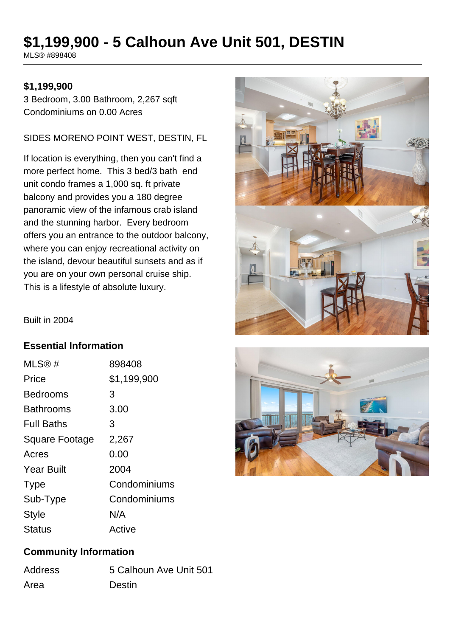# **\$1,199,900 - 5 Calhoun Ave Unit 501, DESTIN**

MLS® #898408

#### **\$1,199,900**

3 Bedroom, 3.00 Bathroom, 2,267 sqft Condominiums on 0.00 Acres

#### SIDES MORENO POINT WEST, DESTIN, FL

If location is everything, then you can't find a more perfect home. This 3 bed/3 bath end unit condo frames a 1,000 sq. ft private balcony and provides you a 180 degree panoramic view of the infamous crab island and the stunning harbor. Every bedroom offers you an entrance to the outdoor balcony, where you can enjoy recreational activity on the island, devour beautiful sunsets and as if you are on your own personal cruise ship. This is a lifestyle of absolute luxury.



Built in 2004

### **Essential Information**

| MLS®#             | 898408       |
|-------------------|--------------|
| Price             | \$1,199,900  |
| <b>Bedrooms</b>   | 3            |
| Bathrooms         | 3.00         |
| <b>Full Baths</b> | З            |
| Square Footage    | 2,267        |
| Acres             | 0.00         |
| <b>Year Built</b> | 2004         |
| <b>Type</b>       | Condominiums |
| Sub-Type          | Condominiums |
| <b>Style</b>      | N/A          |
| <b>Status</b>     | Active       |



### **Community Information**

| <b>Address</b> | 5 Calhoun Ave Unit 501 |
|----------------|------------------------|
| Area           | <b>Destin</b>          |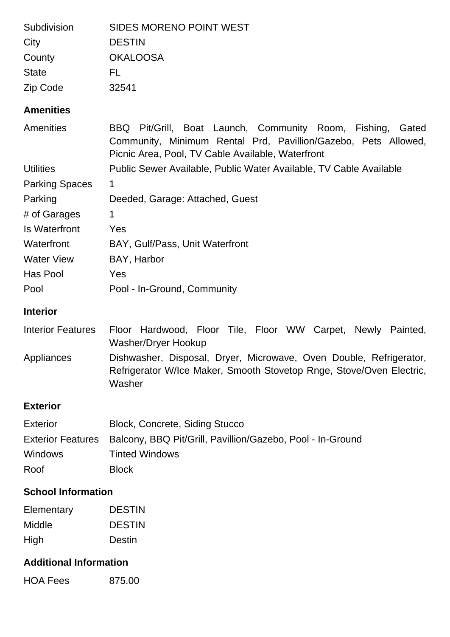| Subdivision                   | <b>SIDES MORENO POINT WEST</b>                                                                                                                                                          |
|-------------------------------|-----------------------------------------------------------------------------------------------------------------------------------------------------------------------------------------|
| City                          | <b>DESTIN</b>                                                                                                                                                                           |
| County                        | <b>OKALOOSA</b>                                                                                                                                                                         |
| <b>State</b>                  | FL                                                                                                                                                                                      |
| Zip Code                      | 32541                                                                                                                                                                                   |
| <b>Amenities</b>              |                                                                                                                                                                                         |
| Amenities                     | Pit/Grill, Boat Launch, Community Room, Fishing,<br>BBQ<br>Gated<br>Community, Minimum Rental Prd, Pavillion/Gazebo, Pets Allowed,<br>Picnic Area, Pool, TV Cable Available, Waterfront |
| <b>Utilities</b>              | Public Sewer Available, Public Water Available, TV Cable Available                                                                                                                      |
| <b>Parking Spaces</b>         | 1                                                                                                                                                                                       |
| Parking                       | Deeded, Garage: Attached, Guest                                                                                                                                                         |
| # of Garages                  | 1                                                                                                                                                                                       |
| <b>Is Waterfront</b>          | Yes                                                                                                                                                                                     |
| Waterfront                    | BAY, Gulf/Pass, Unit Waterfront                                                                                                                                                         |
| <b>Water View</b>             | BAY, Harbor                                                                                                                                                                             |
| Has Pool                      | Yes                                                                                                                                                                                     |
| Pool                          | Pool - In-Ground, Community                                                                                                                                                             |
| <b>Interior</b>               |                                                                                                                                                                                         |
| <b>Interior Features</b>      | Floor Hardwood, Floor Tile, Floor WW Carpet, Newly Painted,<br><b>Washer/Dryer Hookup</b>                                                                                               |
| Appliances                    | Dishwasher, Disposal, Dryer, Microwave, Oven Double, Refrigerator,<br>Refrigerator W/Ice Maker, Smooth Stovetop Rnge, Stove/Oven Electric,<br>Washer                                    |
| <b>Exterior</b>               |                                                                                                                                                                                         |
| <b>Exterior</b>               | <b>Block, Concrete, Siding Stucco</b>                                                                                                                                                   |
| <b>Exterior Features</b>      | Balcony, BBQ Pit/Grill, Pavillion/Gazebo, Pool - In-Ground                                                                                                                              |
| <b>Windows</b>                | <b>Tinted Windows</b>                                                                                                                                                                   |
| Roof                          | <b>Block</b>                                                                                                                                                                            |
| <b>School Information</b>     |                                                                                                                                                                                         |
| Elementary                    | <b>DESTIN</b>                                                                                                                                                                           |
| Middle                        | <b>DESTIN</b>                                                                                                                                                                           |
| High                          | Destin                                                                                                                                                                                  |
| <b>Additional Information</b> |                                                                                                                                                                                         |

HOA Fees 875.00